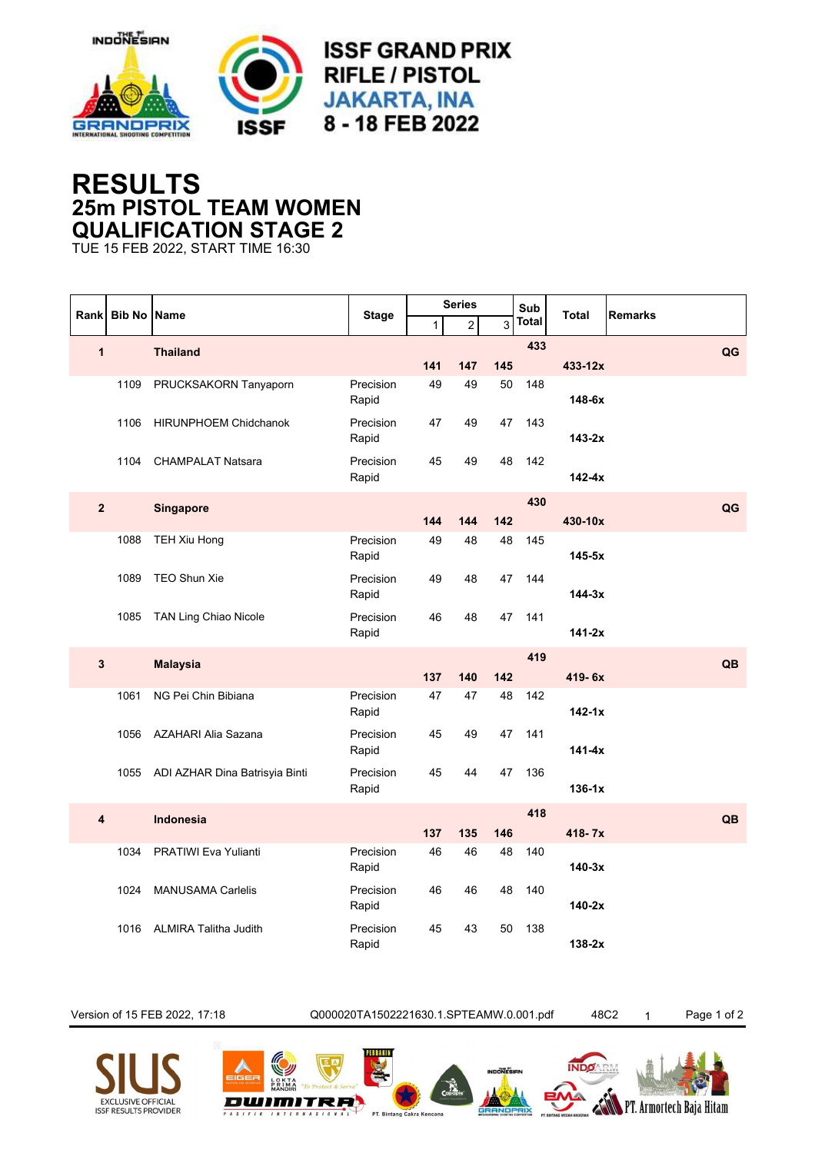

## **RESULTS 25m PISTOL TEAM WOMEN QUALIFICATION STAGE 2**

TUE 15 FEB 2022, START TIME 16:30

|                         | Rank Bib No |                                |                    | <b>Series</b> |     |                | Sub          |              |                |
|-------------------------|-------------|--------------------------------|--------------------|---------------|-----|----------------|--------------|--------------|----------------|
|                         |             | <b>Name</b>                    | <b>Stage</b>       | $\mathbf{1}$  | 2   | $\overline{3}$ | <b>Total</b> | <b>Total</b> | <b>Remarks</b> |
| $\mathbf{1}$            |             | <b>Thailand</b>                |                    |               |     |                | 433          |              | QG             |
|                         |             |                                |                    | 141           | 147 | 145            |              | $433 - 12x$  |                |
|                         | 1109        | PRUCKSAKORN Tanyaporn          | Precision<br>Rapid | 49            | 49  | 50             | 148          | $148-6x$     |                |
|                         | 1106        | <b>HIRUNPHOEM Chidchanok</b>   | Precision<br>Rapid | 47            | 49  | 47             | 143          | $143-2x$     |                |
|                         | 1104        | <b>CHAMPALAT Natsara</b>       | Precision<br>Rapid | 45            | 49  | 48             | 142          | $142 - 4x$   |                |
| $\overline{\mathbf{2}}$ |             | <b>Singapore</b>               |                    |               |     |                | 430          |              | QG             |
|                         |             |                                |                    | 144           | 144 | 142            |              | 430-10x      |                |
|                         | 1088        | TEH Xiu Hong                   | Precision<br>Rapid | 49            | 48  | 48             | 145          | $145-5x$     |                |
|                         | 1089        | <b>TEO Shun Xie</b>            | Precision<br>Rapid | 49            | 48  | 47             | 144          | $144-3x$     |                |
|                         | 1085        | TAN Ling Chiao Nicole          | Precision<br>Rapid | 46            | 48  | 47             | 141          | $141 - 2x$   |                |
|                         |             |                                |                    |               |     |                | 419          |              |                |
| 3                       |             | <b>Malaysia</b>                |                    | 137           | 140 | 142            |              | 419-6x       | QB             |
|                         | 1061        | NG Pei Chin Bibiana            | Precision<br>Rapid | 47            | 47  | 48             | 142          | $142 - 1x$   |                |
|                         | 1056        | AZAHARI Alia Sazana            | Precision<br>Rapid | 45            | 49  | 47             | 141          | $141 - 4x$   |                |
|                         | 1055        | ADI AZHAR Dina Batrisyia Binti | Precision<br>Rapid | 45            | 44  | 47             | 136          | $136-1x$     |                |
|                         |             |                                |                    |               |     |                | 418          |              |                |
| 4                       |             | Indonesia                      |                    | 137           | 135 | 146            |              | $418 - 7x$   | QB             |
|                         | 1034        | PRATIWI Eva Yulianti           | Precision<br>Rapid | 46            | 46  | 48             | 140          | $140-3x$     |                |
|                         | 1024        | <b>MANUSAMA Carlelis</b>       | Precision<br>Rapid | 46            | 46  | 48             | 140          | $140-2x$     |                |
|                         | 1016        | <b>ALMIRA Talitha Judith</b>   | Precision<br>Rapid | 45            | 43  | 50             | 138          | $138-2x$     |                |

Version of 15 FEB 2022, 17:18 Q000020TA1502221630.1.SPTEAMW.0.001.pdf 48C2 1 Page 1 of 2

 $\frac{1}{2}$ 

**EXAMPLE Armortech Baja Hitam** 

**INDO**